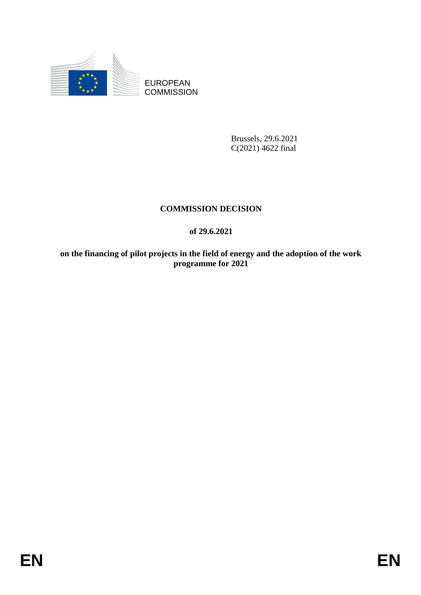

EUROPEAN **COMMISSION** 

> Brussels, 29.6.2021 C(2021) 4622 final

# **COMMISSION DECISION**

# **of 29.6.2021**

**on the financing of pilot projects in the field of energy and the adoption of the work programme for 2021**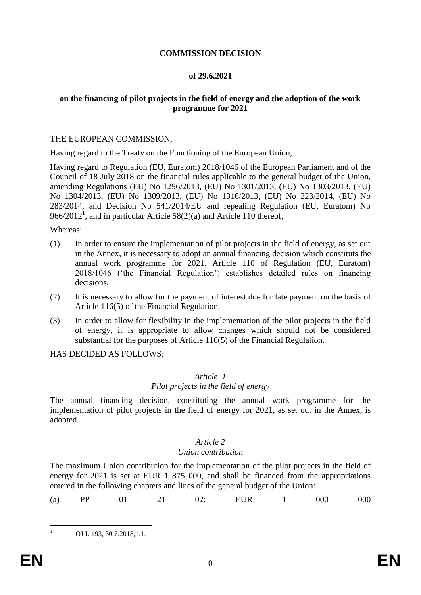# **COMMISSION DECISION**

### **of 29.6.2021**

### **on the financing of pilot projects in the field of energy and the adoption of the work programme for 2021**

#### THE EUROPEAN COMMISSION,

Having regard to the Treaty on the Functioning of the European Union,

Having regard to Regulation (EU, Euratom) 2018/1046 of the European Parliament and of the Council of 18 July 2018 on the financial rules applicable to the general budget of the Union, amending Regulations (EU) No 1296/2013, (EU) No 1301/2013, (EU) No 1303/2013, (EU) No 1304/2013, (EU) No 1309/2013, (EU) No 1316/2013, (EU) No 223/2014, (EU) No 283/2014, and Decision No 541/2014/EU and repealing Regulation (EU, Euratom) No 966/2012<sup>1</sup>, and in particular Article 58(2)(a) and Article 110 thereof,

#### Whereas:

- (1) In order to ensure the implementation of pilot projects in the field of energy, as set out in the Annex, it is necessary to adopt an annual financing decision which constituts the annual work programme for 2021. Article 110 of Regulation (EU, Euratom) 2018/1046 ('the Financial Regulation') establishes detailed rules on financing decisions.
- (2) It is necessary to allow for the payment of interest due for late payment on the basis of Article 116(5) of the Financial Regulation.
- (3) In order to allow for flexibility in the implementation of the pilot projects in the field of energy, it is appropriate to allow changes which should not be considered substantial for the purposes of Article 110(5) of the Financial Regulation.

HAS DECIDED AS FOLLOWS:

# *Article 1*

# *Pilot projects in the field of energy*

The annual financing decision, constituting the annual work programme for the implementation of pilot projects in the field of energy for 2021, as set out in the Annex, is adopted.

### *Article 2*

### *Union contribution*

The maximum Union contribution for the implementation of the pilot projects in the field of energy for 2021 is set at EUR 1 875 000, and shall be financed from the appropriations entered in the following chapters and lines of the general budget of the Union:

| $(a)$ PP |  | 01 |  | 02: | EUR | 1 000 |  | 000 |
|----------|--|----|--|-----|-----|-------|--|-----|
|----------|--|----|--|-----|-----|-------|--|-----|

OJ L 193, 30.7.2018, p.1.

 $\mathbf{1}$